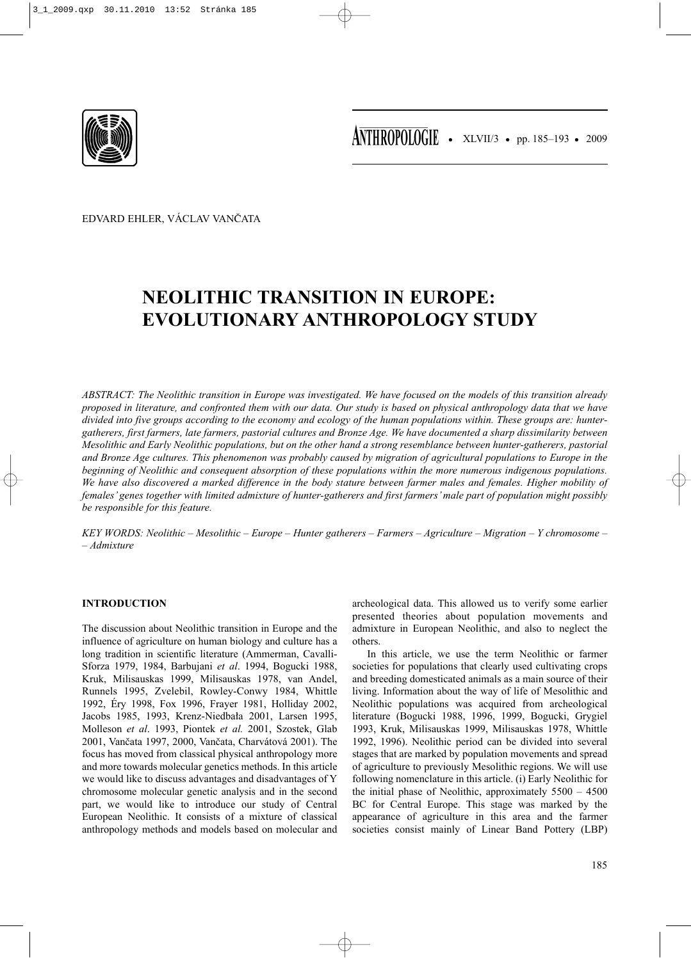

EDVARD EHLER, VÁCLAV VANČATA

# **NEOLITHIC TRANSITION IN EUROPE: EVOLUTIONARY ANTHROPOLOGY STUDY**

*ABSTRACT: The Neolithic transition in Europe was investigated. We have focused on the models of this transition already proposed in literature, and confronted them with our data. Our study is based on physical anthropology data that we have divided into five groups according to the economy and ecology of the human populations within. These groups are: huntergatherers, first farmers, late farmers, pastorial cultures and Bronze Age. We have documented a sharp dissimilarity between Mesolithic and Early Neolithic populations, but on the other hand a strong resemblance between hunter-gatherers, pastorial and Bronze Age cultures. This phenomenon was probably caused by migration of agricultural populations to Europe in the beginning of Neolithic and consequent absorption of these populations within the more numerous indigenous populations. We have also discovered a marked difference in the body stature between farmer males and females. Higher mobility of females' genes together with limited admixture of hunter-gatherers and first farmers' male part of population might possibly be responsible for this feature.* 

*KEY WORDS: Neolithic – Mesolithic – Europe – Hunter gatherers – Farmers – Agriculture – Migration – Y chromosome – – Admixture*

### **INTRODUCTION**

The discussion about Neolithic transition in Europe and the influence of agriculture on human biology and culture has a long tradition in scientific literature (Ammerman, Cavalli-Sforza 1979, 1984, Barbujani *et al*. 1994, Bogucki 1988, Kruk, Milisauskas 1999, Milisauskas 1978, van Andel, Runnels 1995, Zvelebil, Rowley-Conwy 1984, Whittle 1992, Éry 1998, Fox 1996, Frayer 1981, Holliday 2002, Jacobs 1985, 1993, Krenz-Niedbała 2001, Larsen 1995, Molleson *et al*. 1993, Piontek *et al.* 2001, Szostek, Glab 2001, Vančata 1997, 2000, Vančata, Charvátová 2001). The focus has moved from classical physical anthropology more and more towards molecular genetics methods. In this article we would like to discuss advantages and disadvantages of Y chromosome molecular genetic analysis and in the second part, we would like to introduce our study of Central European Neolithic. It consists of a mixture of classical anthropology methods and models based on molecular and archeological data. This allowed us to verify some earlier presented theories about population movements and admixture in European Neolithic, and also to neglect the others.

In this article, we use the term Neolithic or farmer societies for populations that clearly used cultivating crops and breeding domesticated animals as a main source of their living. Information about the way of life of Mesolithic and Neolithic populations was acquired from archeological literature (Bogucki 1988, 1996, 1999, Bogucki, Grygiel 1993, Kruk, Milisauskas 1999, Milisauskas 1978, Whittle 1992, 1996). Neolithic period can be divided into several stages that are marked by population movements and spread of agriculture to previously Mesolithic regions. We will use following nomenclature in this article. (i) Early Neolithic for the initial phase of Neolithic, approximately 5500 – 4500 BC for Central Europe. This stage was marked by the appearance of agriculture in this area and the farmer societies consist mainly of Linear Band Pottery (LBP)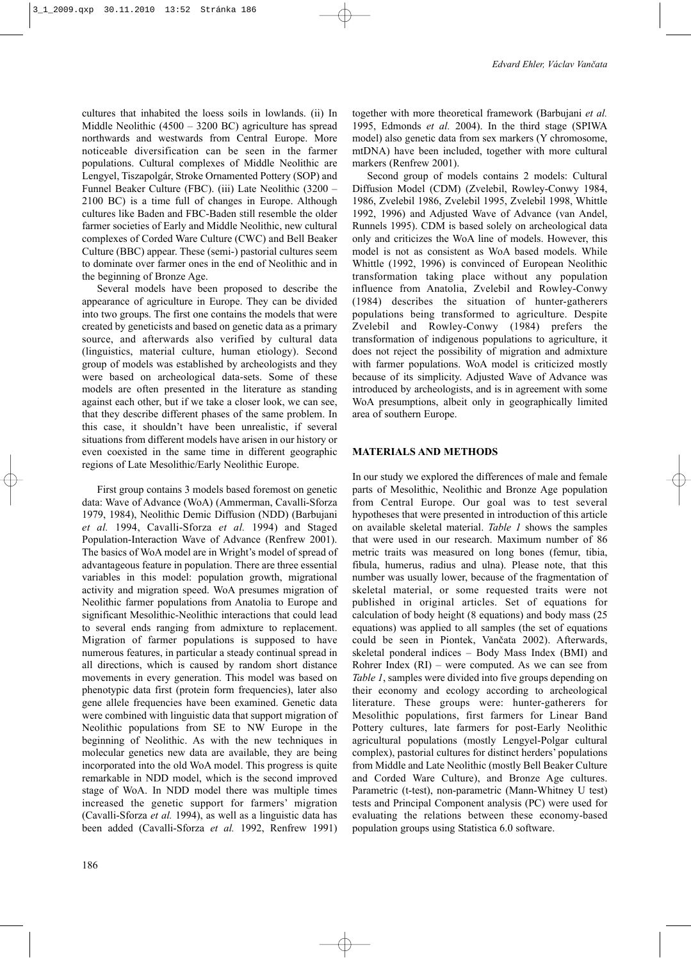cultures that inhabited the loess soils in lowlands. (ii) In Middle Neolithic (4500 – 3200 BC) agriculture has spread northwards and westwards from Central Europe. More noticeable diversification can be seen in the farmer populations. Cultural complexes of Middle Neolithic are Lengyel, Tiszapolgár, Stroke Ornamented Pottery (SOP) and Funnel Beaker Culture (FBC). (iii) Late Neolithic (3200 – 2100 BC) is a time full of changes in Europe. Although cultures like Baden and FBC-Baden still resemble the older farmer societies of Early and Middle Neolithic, new cultural complexes of Corded Ware Culture (CWC) and Bell Beaker Culture (BBC) appear. These (semi-) pastorial cultures seem to dominate over farmer ones in the end of Neolithic and in the beginning of Bronze Age.

Several models have been proposed to describe the appearance of agriculture in Europe. They can be divided into two groups. The first one contains the models that were created by geneticists and based on genetic data as a primary source, and afterwards also verified by cultural data (linguistics, material culture, human etiology). Second group of models was established by archeologists and they were based on archeological data-sets. Some of these models are often presented in the literature as standing against each other, but if we take a closer look, we can see, that they describe different phases of the same problem. In this case, it shouldn't have been unrealistic, if several situations from different models have arisen in our history or even coexisted in the same time in different geographic regions of Late Mesolithic/Early Neolithic Europe.

First group contains 3 models based foremost on genetic data: Wave of Advance (WoA) (Ammerman, Cavalli-Sforza 1979, 1984), Neolithic Demic Diffusion (NDD) (Barbujani *et al.* 1994, Cavalli-Sforza *et al.* 1994) and Staged Population-Interaction Wave of Advance (Renfrew 2001). The basics of WoA model are in Wright's model of spread of advantageous feature in population. There are three essential variables in this model: population growth, migrational activity and migration speed. WoA presumes migration of Neolithic farmer populations from Anatolia to Europe and significant Mesolithic-Neolithic interactions that could lead to several ends ranging from admixture to replacement. Migration of farmer populations is supposed to have numerous features, in particular a steady continual spread in all directions, which is caused by random short distance movements in every generation. This model was based on phenotypic data first (protein form frequencies), later also gene allele frequencies have been examined. Genetic data were combined with linguistic data that support migration of Neolithic populations from SE to NW Europe in the beginning of Neolithic. As with the new techniques in molecular genetics new data are available, they are being incorporated into the old WoA model. This progress is quite remarkable in NDD model, which is the second improved stage of WoA. In NDD model there was multiple times increased the genetic support for farmers' migration (Cavalli-Sforza *et al.* 1994), as well as a linguistic data has been added (Cavalli-Sforza *et al.* 1992, Renfrew 1991)

together with more theoretical framework (Barbujani *et al.* 1995, Edmonds *et al.* 2004). In the third stage (SPIWA model) also genetic data from sex markers (Y chromosome, mtDNA) have been included, together with more cultural markers (Renfrew 2001).

Second group of models contains 2 models: Cultural Diffusion Model (CDM) (Zvelebil, Rowley-Conwy 1984, 1986, Zvelebil 1986, Zvelebil 1995, Zvelebil 1998, Whittle 1992, 1996) and Adjusted Wave of Advance (van Andel, Runnels 1995). CDM is based solely on archeological data only and criticizes the WoA line of models. However, this model is not as consistent as WoA based models. While Whittle (1992, 1996) is convinced of European Neolithic transformation taking place without any population influence from Anatolia, Zvelebil and Rowley-Conwy (1984) describes the situation of hunter-gatherers populations being transformed to agriculture. Despite Zvelebil and Rowley-Conwy (1984) prefers the transformation of indigenous populations to agriculture, it does not reject the possibility of migration and admixture with farmer populations. WoA model is criticized mostly because of its simplicity. Adjusted Wave of Advance was introduced by archeologists, and is in agreement with some WoA presumptions, albeit only in geographically limited area of southern Europe.

#### **MATERIALS AND METHODS**

In our study we explored the differences of male and female parts of Mesolithic, Neolithic and Bronze Age population from Central Europe. Our goal was to test several hypotheses that were presented in introduction of this article on available skeletal material. *Table 1* shows the samples that were used in our research. Maximum number of 86 metric traits was measured on long bones (femur, tibia, fibula, humerus, radius and ulna). Please note, that this number was usually lower, because of the fragmentation of skeletal material, or some requested traits were not published in original articles. Set of equations for calculation of body height (8 equations) and body mass (25 equations) was applied to all samples (the set of equations could be seen in Piontek, Vančata 2002). Afterwards, skeletal ponderal indices – Body Mass Index (BMI) and Rohrer Index (RI) – were computed. As we can see from *Table 1*, samples were divided into five groups depending on their economy and ecology according to archeological literature. These groups were: hunter-gatherers for Mesolithic populations, first farmers for Linear Band Pottery cultures, late farmers for post-Early Neolithic agricultural populations (mostly Lengyel-Polgar cultural complex), pastorial cultures for distinct herders' populations from Middle and Late Neolithic (mostly Bell Beaker Culture and Corded Ware Culture), and Bronze Age cultures. Parametric (t-test), non-parametric (Mann-Whitney U test) tests and Principal Component analysis (PC) were used for evaluating the relations between these economy-based population groups using Statistica 6.0 software.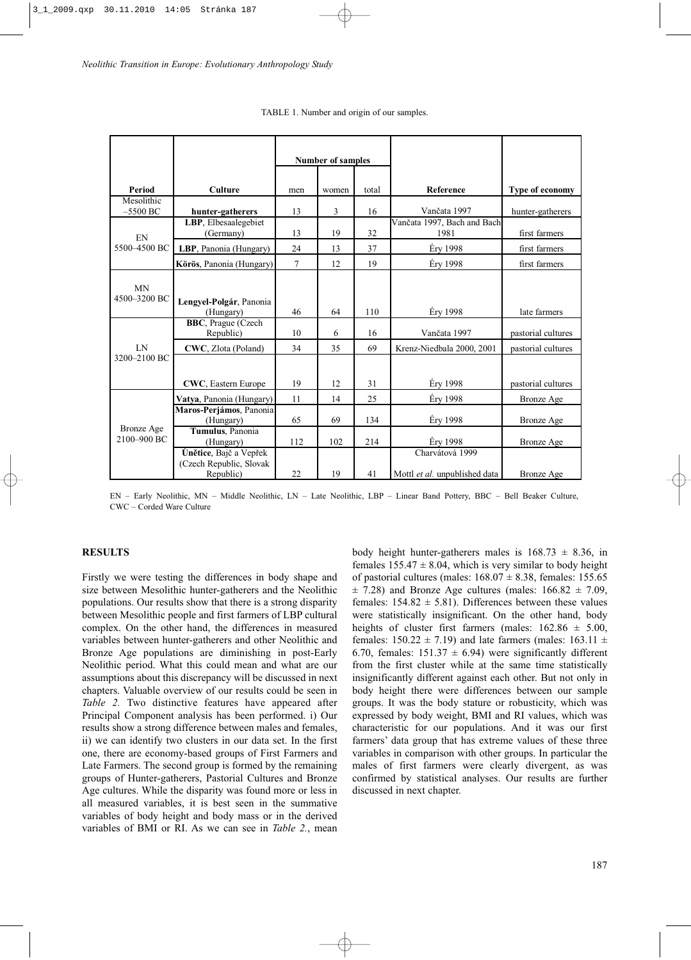|                                  |                                                                | <b>Number of samples</b> |                |       |                                                  |                    |
|----------------------------------|----------------------------------------------------------------|--------------------------|----------------|-------|--------------------------------------------------|--------------------|
| Period                           | <b>Culture</b>                                                 | men                      | women          | total | Reference                                        | Type of economy    |
| Mesolithic<br>$-5500$ BC         | hunter-gatherers                                               | 13                       | $\overline{3}$ | 16    | Vančata 1997                                     | hunter-gatherers   |
| EN<br>5500-4500 BC               | LBP, Elbesaalegebiet<br>(Germany)                              | 13                       | 19             | 32    | Vančata 1997, Bach and Bach<br>1981              | first farmers      |
|                                  | LBP, Panonia (Hungary)                                         | 24                       | 13             | 37    | Éry 1998                                         | first farmers      |
|                                  | Körös, Panonia (Hungary)                                       | 7                        | 12             | 19    | Éry 1998                                         | first farmers      |
| <b>MN</b><br>4500-3200 BC        | Lengyel-Polgár, Panonia<br>(Hungary)                           | 46                       | 64             | 110   | Éry 1998                                         | late farmers       |
|                                  | <b>BBC</b> , Prague (Czech<br>Republic)                        | 10                       | 6              | 16    | Vančata 1997                                     | pastorial cultures |
| LN<br>3200-2100 BC               | CWC, Zlota (Poland)                                            | 34                       | 35             | 69    | Krenz-Niedbala 2000, 2001                        | pastorial cultures |
|                                  | <b>CWC</b> , Eastern Europe                                    | 19                       | 12             | 31    | Éry 1998                                         | pastorial cultures |
|                                  | Vatya, Panonia (Hungary)                                       | 11                       | 14             | 25    | Éry 1998                                         | <b>Bronze</b> Age  |
| <b>Bronze</b> Age<br>2100-900 BC | Maros-Perjámos, Panonia<br>(Hungary)                           | 65                       | 69             | 134   | <b>Éry 1998</b>                                  | Bronze Age         |
|                                  | Tumulus, Panonia<br>(Hungary)                                  | 112                      | 102            | 214   | Éry 1998                                         | <b>Bronze</b> Age  |
|                                  | Únětice, Bajč a Vepřek<br>(Czech Republic, Slovak<br>Republic) | 22                       | 19             | 41    | Charvátová 1999<br>Mottl et al. unpublished data | Bronze Age         |

TABLE 1. Number and origin of our samples.

EN – Early Neolithic, MN – Middle Neolithic, LN – Late Neolithic, LBP – Linear Band Pottery, BBC – Bell Beaker Culture, CWC – Corded Ware Culture

#### **RESULTS**

Firstly we were testing the differences in body shape and size between Mesolithic hunter-gatherers and the Neolithic populations. Our results show that there is a strong disparity between Mesolithic people and first farmers of LBP cultural complex. On the other hand, the differences in measured variables between hunter-gatherers and other Neolithic and Bronze Age populations are diminishing in post-Early Neolithic period. What this could mean and what are our assumptions about this discrepancy will be discussed in next chapters. Valuable overview of our results could be seen in *Table 2.* Two distinctive features have appeared after Principal Component analysis has been performed. i) Our results show a strong difference between males and females, ii) we can identify two clusters in our data set. In the first one, there are economy-based groups of First Farmers and Late Farmers. The second group is formed by the remaining groups of Hunter-gatherers, Pastorial Cultures and Bronze Age cultures. While the disparity was found more or less in all measured variables, it is best seen in the summative variables of body height and body mass or in the derived variables of BMI or RI. As we can see in *Table 2.*, mean body height hunter-gatherers males is  $168.73 \pm 8.36$ , in females  $155.47 \pm 8.04$ , which is very similar to body height of pastorial cultures (males:  $168.07 \pm 8.38$ , females: 155.65  $\pm$  7.28) and Bronze Age cultures (males: 166.82  $\pm$  7.09, females:  $154.82 \pm 5.81$ ). Differences between these values were statistically insignificant. On the other hand, body heights of cluster first farmers (males:  $162.86 \pm 5.00$ , females:  $150.22 \pm 7.19$ ) and late farmers (males:  $163.11 \pm$ 6.70, females:  $151.37 \pm 6.94$ ) were significantly different from the first cluster while at the same time statistically insignificantly different against each other. But not only in body height there were differences between our sample groups. It was the body stature or robusticity, which was expressed by body weight, BMI and RI values, which was characteristic for our populations. And it was our first farmers' data group that has extreme values of these three variables in comparison with other groups. In particular the males of first farmers were clearly divergent, as was confirmed by statistical analyses. Our results are further discussed in next chapter.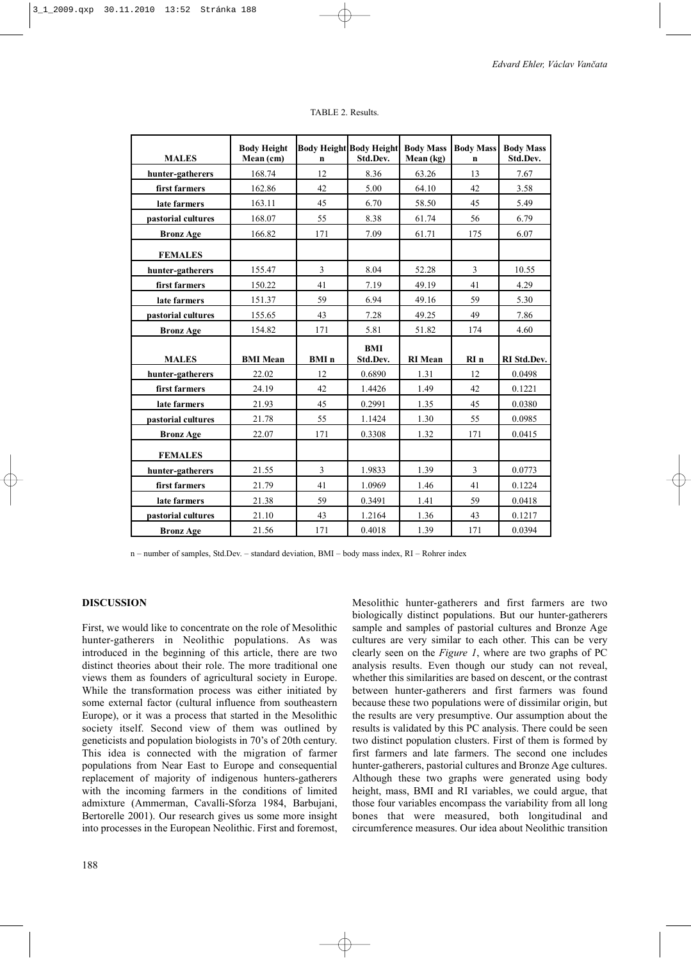| <b>MALES</b>       | <b>Body Height</b><br>Mean (cm) | n                       | <b>Body Height Body Height</b><br>Std.Dev. | <b>Body Mass</b><br>Mean (kg) | <b>Body Mass</b><br>n | <b>Body Mass</b><br>Std.Dev. |
|--------------------|---------------------------------|-------------------------|--------------------------------------------|-------------------------------|-----------------------|------------------------------|
| hunter-gatherers   | 168.74                          | 12                      | 8.36                                       | 63.26                         | 13                    | 7.67                         |
| first farmers      | 162.86                          | 42                      | 5.00                                       | 64.10                         | 42                    | 3.58                         |
| late farmers       | 163.11                          | 45                      | 6.70                                       | 58.50                         | 45                    | 5.49                         |
| pastorial cultures | 168.07                          | 55                      | 8.38                                       | 61.74                         | 56                    | 6.79                         |
| <b>Bronz Age</b>   | 166.82                          | 171                     | 7.09                                       | 61.71                         | 175                   | 6.07                         |
| <b>FEMALES</b>     |                                 |                         |                                            |                               |                       |                              |
| hunter-gatherers   | 155.47                          | 3                       | 8.04                                       | 52.28                         | 3                     | 10.55                        |
| first farmers      | 150.22                          | 41                      | 7.19                                       | 49.19                         | 41                    | 4.29                         |
| late farmers       | 151.37                          | 59                      | 6.94                                       | 49.16                         | 59                    | 5.30                         |
| pastorial cultures | 155.65                          | 43                      | 7.28                                       | 49.25                         | 49                    | 7.86                         |
| <b>Bronz Age</b>   | 154.82                          | 171                     | 5.81                                       | 51.82                         | 174                   | 4.60                         |
|                    |                                 |                         | <b>BMI</b>                                 |                               |                       |                              |
| <b>MALES</b>       | <b>BMI</b> Mean                 | <b>BMI</b> n            | Std.Dev.                                   | <b>RI</b> Mean                | RIn                   | RI Std.Dev.                  |
| hunter-gatherers   | 22.02                           | 12                      | 0.6890                                     | 1.31                          | 12                    | 0.0498                       |
| first farmers      | 24.19                           | 42                      | 1.4426                                     | 1.49                          | 42                    | 0.1221                       |
| late farmers       | 21.93                           | 45                      | 0.2991                                     | 1.35                          | 45                    | 0.0380                       |
| pastorial cultures | 21.78                           | 55                      | 1.1424                                     | 1.30                          | 55                    | 0.0985                       |
| <b>Bronz Age</b>   | 22.07                           | 171                     | 0.3308                                     | 1.32                          | 171                   | 0.0415                       |
| <b>FEMALES</b>     |                                 |                         |                                            |                               |                       |                              |
| hunter-gatherers   | 21.55                           | $\overline{\mathbf{3}}$ | 1.9833                                     | 1.39                          | 3                     | 0.0773                       |
| first farmers      | 21.79                           | 41                      | 1.0969                                     | 1.46                          | 41                    | 0.1224                       |
| late farmers       | 21.38                           | 59                      | 0.3491                                     | 1.41                          | 59                    | 0.0418                       |
| pastorial cultures | 21.10                           | 43                      | 1.2164                                     | 1.36                          | 43                    | 0.1217                       |
| <b>Bronz Age</b>   | 21.56                           | 171                     | 0.4018                                     | 1.39                          | 171                   | 0.0394                       |

TABLE 2. Results.

n – number of samples, Std.Dev. – standard deviation, BMI – body mass index, RI – Rohrer index

### **DISCUSSION**

First, we would like to concentrate on the role of Mesolithic hunter-gatherers in Neolithic populations. As was introduced in the beginning of this article, there are two distinct theories about their role. The more traditional one views them as founders of agricultural society in Europe. While the transformation process was either initiated by some external factor (cultural influence from southeastern Europe), or it was a process that started in the Mesolithic society itself. Second view of them was outlined by geneticists and population biologists in 70's of 20th century. This idea is connected with the migration of farmer populations from Near East to Europe and consequential replacement of majority of indigenous hunters-gatherers with the incoming farmers in the conditions of limited admixture (Ammerman, Cavalli-Sforza 1984, Barbujani, Bertorelle 2001). Our research gives us some more insight into processes in the European Neolithic. First and foremost, Mesolithic hunter-gatherers and first farmers are two biologically distinct populations. But our hunter-gatherers sample and samples of pastorial cultures and Bronze Age cultures are very similar to each other. This can be very clearly seen on the *Figure 1*, where are two graphs of PC analysis results. Even though our study can not reveal, whether this similarities are based on descent, or the contrast between hunter-gatherers and first farmers was found because these two populations were of dissimilar origin, but the results are very presumptive. Our assumption about the results is validated by this PC analysis. There could be seen two distinct population clusters. First of them is formed by first farmers and late farmers. The second one includes hunter-gatherers, pastorial cultures and Bronze Age cultures. Although these two graphs were generated using body height, mass, BMI and RI variables, we could argue, that those four variables encompass the variability from all long bones that were measured, both longitudinal and circumference measures. Our idea about Neolithic transition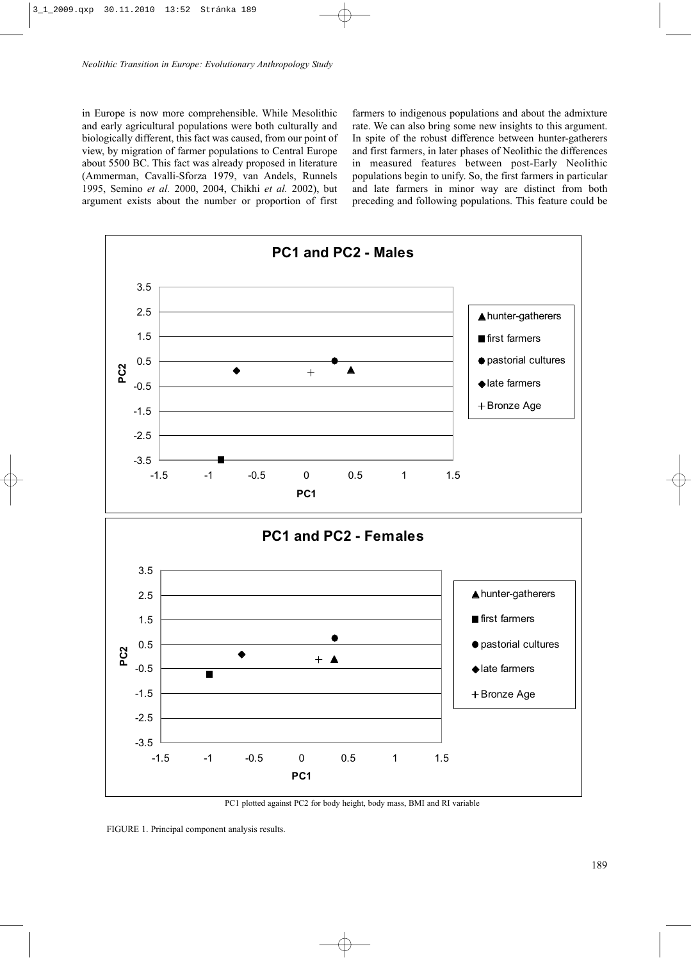in Europe is now more comprehensible. While Mesolithic and early agricultural populations were both culturally and biologically different, this fact was caused, from our point of view, by migration of farmer populations to Central Europe about 5500 BC. This fact was already proposed in literature (Ammerman, Cavalli-Sforza 1979, van Andels, Runnels 1995, Semino *et al.* 2000, 2004, Chikhi *et al.* 2002), but argument exists about the number or proportion of first

farmers to indigenous populations and about the admixture rate. We can also bring some new insights to this argument. In spite of the robust difference between hunter-gatherers and first farmers, in later phases of Neolithic the differences in measured features between post-Early Neolithic populations begin to unify. So, the first farmers in particular and late farmers in minor way are distinct from both preceding and following populations. This feature could be



PC1 plotted against PC2 for body height, body mass, BMI and RI variable

FIGURE 1. Principal component analysis results.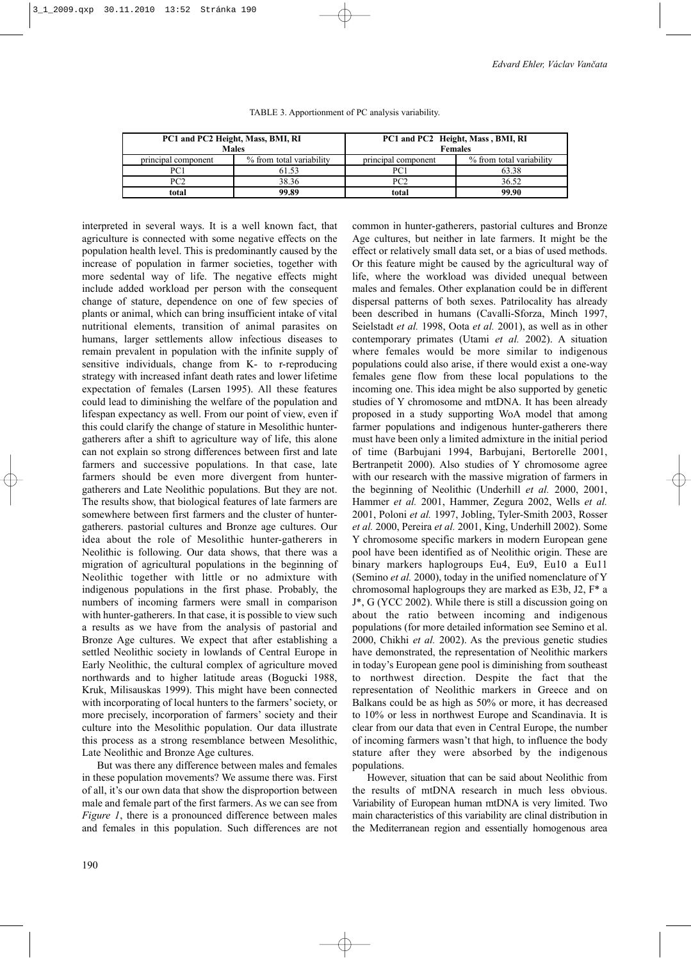|                     | PC1 and PC2 Height, Mass, BMI, RI<br><b>Males</b> | PC1 and PC2 Height, Mass, BMI, RI<br><b>Females</b> |                          |  |
|---------------------|---------------------------------------------------|-----------------------------------------------------|--------------------------|--|
| principal component | % from total variability                          | principal component                                 | % from total variability |  |
| PC1                 | 61.53                                             | PC1                                                 | 63.38                    |  |
| PC2                 | 38.36                                             | PC2                                                 | 36.52                    |  |
| total               | 99.89                                             | total                                               | 99.90                    |  |

TABLE 3. Apportionment of PC analysis variability.

agriculture is connected with some negative effects on the population health level. This is predominantly caused by the increase of population in farmer societies, together with more sedental way of life. The negative effects might include added workload per person with the consequent change of stature, dependence on one of few species of plants or animal, which can bring insufficient intake of vital nutritional elements, transition of animal parasites on humans, larger settlements allow infectious diseases to remain prevalent in population with the infinite supply of sensitive individuals, change from K- to r-reproducing strategy with increased infant death rates and lower lifetime expectation of females (Larsen 1995). All these features could lead to diminishing the welfare of the population and lifespan expectancy as well. From our point of view, even if this could clarify the change of stature in Mesolithic huntergatherers after a shift to agriculture way of life, this alone can not explain so strong differences between first and late farmers and successive populations. In that case, late farmers should be even more divergent from huntergatherers and Late Neolithic populations. But they are not. The results show, that biological features of late farmers are somewhere between first farmers and the cluster of huntergatherers. pastorial cultures and Bronze age cultures. Our idea about the role of Mesolithic hunter-gatherers in Neolithic is following. Our data shows, that there was a migration of agricultural populations in the beginning of Neolithic together with little or no admixture with indigenous populations in the first phase. Probably, the numbers of incoming farmers were small in comparison with hunter-gatherers. In that case, it is possible to view such a results as we have from the analysis of pastorial and Bronze Age cultures. We expect that after establishing a settled Neolithic society in lowlands of Central Europe in Early Neolithic, the cultural complex of agriculture moved northwards and to higher latitude areas (Bogucki 1988, Kruk, Milisauskas 1999). This might have been connected with incorporating of local hunters to the farmers' society, or more precisely, incorporation of farmers' society and their culture into the Mesolithic population. Our data illustrate this process as a strong resemblance between Mesolithic, Late Neolithic and Bronze Age cultures.

interpreted in several ways. It is a well known fact, that

But was there any difference between males and females in these population movements? We assume there was. First of all, it's our own data that show the disproportion between male and female part of the first farmers. As we can see from *Figure 1*, there is a pronounced difference between males and females in this population. Such differences are not

common in hunter-gatherers, pastorial cultures and Bronze Age cultures, but neither in late farmers. It might be the effect or relatively small data set, or a bias of used methods. Or this feature might be caused by the agricultural way of life, where the workload was divided unequal between males and females. Other explanation could be in different dispersal patterns of both sexes. Patrilocality has already been described in humans (Cavalli-Sforza, Minch 1997, Seielstadt *et al.* 1998, Oota *et al.* 2001), as well as in other contemporary primates (Utami *et al.* 2002). A situation where females would be more similar to indigenous populations could also arise, if there would exist a one-way females gene flow from these local populations to the incoming one. This idea might be also supported by genetic studies of Y chromosome and mtDNA. It has been already proposed in a study supporting WoA model that among farmer populations and indigenous hunter-gatherers there must have been only a limited admixture in the initial period of time (Barbujani 1994, Barbujani, Bertorelle 2001, Bertranpetit 2000). Also studies of Y chromosome agree with our research with the massive migration of farmers in the beginning of Neolithic (Underhill *et al.* 2000, 2001, Hammer *et al.* 2001, Hammer, Zegura 2002, Wells *et al.* 2001, Poloni *et al.* 1997, Jobling, Tyler-Smith 2003, Rosser *et al.* 2000, Pereira *et al.* 2001, King, Underhill 2002). Some Y chromosome specific markers in modern European gene pool have been identified as of Neolithic origin. These are binary markers haplogroups Eu4, Eu9, Eu10 a Eu11 (Semino *et al.* 2000), today in the unified nomenclature of Y chromosomal haplogroups they are marked as E3b, J2, F\* a J\*, G (YCC 2002). While there is still a discussion going on about the ratio between incoming and indigenous populations (for more detailed information see Semino et al. 2000, Chikhi *et al.* 2002). As the previous genetic studies have demonstrated, the representation of Neolithic markers in today's European gene pool is diminishing from southeast to northwest direction. Despite the fact that the representation of Neolithic markers in Greece and on Balkans could be as high as 50% or more, it has decreased to 10% or less in northwest Europe and Scandinavia. It is clear from our data that even in Central Europe, the number of incoming farmers wasn't that high, to influence the body stature after they were absorbed by the indigenous populations.

However, situation that can be said about Neolithic from the results of mtDNA research in much less obvious. Variability of European human mtDNA is very limited. Two main characteristics of this variability are clinal distribution in the Mediterranean region and essentially homogenous area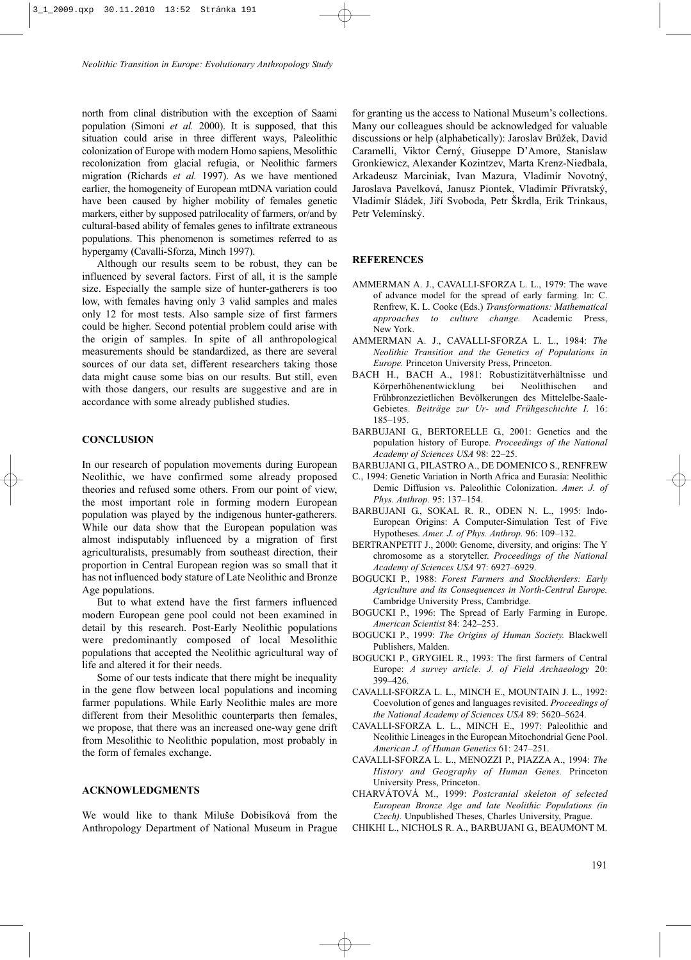north from clinal distribution with the exception of Saami population (Simoni *et al.* 2000). It is supposed, that this situation could arise in three different ways, Paleolithic colonization of Europe with modern Homo sapiens, Mesolithic recolonization from glacial refugia, or Neolithic farmers migration (Richards *et al.* 1997). As we have mentioned earlier, the homogeneity of European mtDNA variation could have been caused by higher mobility of females genetic markers, either by supposed patrilocality of farmers, or/and by cultural-based ability of females genes to infiltrate extraneous populations. This phenomenon is sometimes referred to as hypergamy (Cavalli-Sforza, Minch 1997).

Although our results seem to be robust, they can be influenced by several factors. First of all, it is the sample size. Especially the sample size of hunter-gatherers is too low, with females having only 3 valid samples and males only 12 for most tests. Also sample size of first farmers could be higher. Second potential problem could arise with the origin of samples. In spite of all anthropological measurements should be standardized, as there are several sources of our data set, different researchers taking those data might cause some bias on our results. But still, even with those dangers, our results are suggestive and are in accordance with some already published studies.

#### **CONCLUSION**

In our research of population movements during European Neolithic, we have confirmed some already proposed theories and refused some others. From our point of view, the most important role in forming modern European population was played by the indigenous hunter-gatherers. While our data show that the European population was almost indisputably influenced by a migration of first agriculturalists, presumably from southeast direction, their proportion in Central European region was so small that it has not influenced body stature of Late Neolithic and Bronze Age populations.

But to what extend have the first farmers influenced modern European gene pool could not been examined in detail by this research. Post-Early Neolithic populations were predominantly composed of local Mesolithic populations that accepted the Neolithic agricultural way of life and altered it for their needs.

Some of our tests indicate that there might be inequality in the gene flow between local populations and incoming farmer populations. While Early Neolithic males are more different from their Mesolithic counterparts then females, we propose, that there was an increased one-way gene drift from Mesolithic to Neolithic population, most probably in the form of females exchange.

#### **ACKNOWLEDGMENTS**

We would like to thank Miluše Dobisíková from the Anthropology Department of National Museum in Prague for granting us the access to National Museum's collections. Many our colleagues should be acknowledged for valuable discussions or help (alphabetically): Jaroslav Brůžek, David Caramelli, Viktor Černý, Giuseppe D'Amore, Stanislaw Gronkiewicz, Alexander Kozintzev, Marta Krenz-Niedbala, Arkadeusz Marciniak, Ivan Mazura, Vladimír Novotný, Jaroslava Pavelková, Janusz Piontek, Vladimír Přívratský, Vladimír Sládek, Jiří Svoboda, Petr Škrdla, Erik Trinkaus, Petr Velemínský.

## **REFERENCES**

- AMMERMAN A. J., CAVALLI-SFORZA L. L., 1979: The wave of advance model for the spread of early farming. In: C. Renfrew, K. L. Cooke (Eds.) *Transformations: Mathematical approaches to culture change.* Academic Press, New York.
- AMMERMAN A. J., CAVALLI-SFORZA L. L., 1984: *The Neolithic Transition and the Genetics of Populations in Europe.* Princeton University Press, Princeton.
- BACH H., BACH A., 1981: Robustizitätverhältnisse und Körperhöhenentwicklung bei Neolithischen and Frühbronzezietlichen Bevölkerungen des Mittelelbe-Saale-Gebietes. *Beiträge zur Ur- und Frühgeschichte I*. 16: 185–195.
- BARBUJANI G., BERTORELLE G., 2001: Genetics and the population history of Europe. *Proceedings of the National Academy of Sciences USA* 98: 22–25.
- BARBUJANI G., PILASTRO A., DE DOMENICO S., RENFREW
- C., 1994: Genetic Variation in North Africa and Eurasia: Neolithic Demic Diffusion vs. Paleolithic Colonization. *Amer. J. of Phys. Anthrop.* 95: 137–154.
- BARBUJANI G., SOKAL R. R., ODEN N. L., 1995: Indo-European Origins: A Computer-Simulation Test of Five Hypotheses. *Amer. J. of Phys. Anthrop.* 96: 109–132.
- BERTRANPETIT J., 2000: Genome, diversity, and origins: The Y chromosome as a storyteller. *Proceedings of the National Academy of Sciences USA* 97: 6927–6929.
- BOGUCKI P., 1988: *Forest Farmers and Stockherders: Early Agriculture and its Consequences in North-Central Europe.* Cambridge University Press, Cambridge.
- BOGUCKI P., 1996: The Spread of Early Farming in Europe. *American Scientist* 84: 242–253.
- BOGUCKI P., 1999: *The Origins of Human Society.* Blackwell Publishers, Malden.
- BOGUCKI P., GRYGIEL R., 1993: The first farmers of Central Europe: *A survey article. J. of Field Archaeology* 20: 399–426.
- CAVALLI-SFORZA L. L., MINCH E., MOUNTAIN J. L., 1992: Coevolution of genes and languages revisited. *Proceedings of the National Academy of Sciences USA* 89: 5620–5624.
- CAVALLI-SFORZA L. L., MINCH E., 1997: Paleolithic and Neolithic Lineages in the European Mitochondrial Gene Pool. *American J. of Human Genetics* 61: 247–251.
- CAVALLI-SFORZA L. L., MENOZZI P., PIAZZA A., 1994: *The History and Geography of Human Genes.* Princeton University Press, Princeton.
- CHARVÁTOVÁ M., 1999: *Postcranial skeleton of selected European Bronze Age and late Neolithic Populations (in Czech).* Unpublished Theses, Charles University, Prague.
- CHIKHI L., NICHOLS R. A., BARBUJANI G., BEAUMONT M.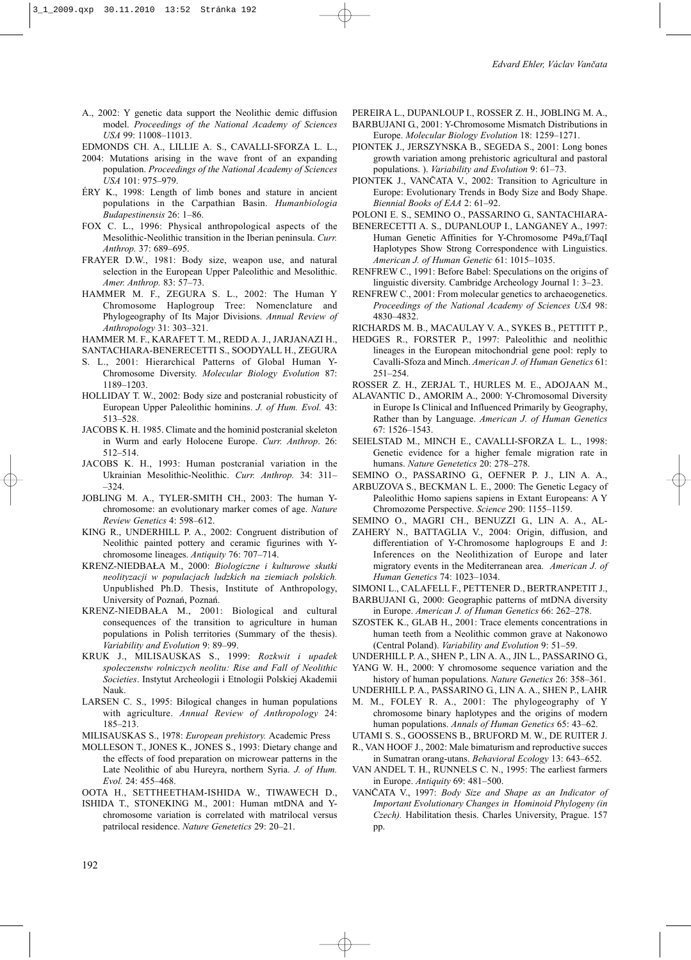- A., 2002: Y genetic data support the Neolithic demic diffusion model. *Proceedings of the National Academy of Sciences USA* 99: 11008–11013.
- EDMONDS CH. A., LILLIE A. S., CAVALLI-SFORZA L. L.,
- 2004: Mutations arising in the wave front of an expanding population. *Proceedings of the National Academy of Sciences USA* 101: 975–979.
- ÉRY K., 1998: Length of limb bones and stature in ancient populations in the Carpathian Basin. *Humanbiologia Budapestinensis* 26: 1–86.
- FOX C. L., 1996: Physical anthropological aspects of the Mesolithic-Neolithic transition in the Iberian peninsula. *Curr. Anthrop.* 37: 689–695.
- FRAYER D.W., 1981: Body size, weapon use, and natural selection in the European Upper Paleolithic and Mesolithic. *Amer. Anthrop.* 83: 57–73.
- HAMMER M. F., ZEGURA S. L., 2002: The Human Y Chromosome Haplogroup Tree: Nomenclature and Phylogeography of Its Major Divisions. *Annual Review of Anthropology* 31: 303–321.
- HAMMER M. F., KARAFET T. M., REDD A. J., JARJANAZI H.,
- SANTACHIARA-BENERECETTI S., SOODYALL H., ZEGURA S. L., 2001: Hierarchical Patterns of Global Human Y-
- Chromosome Diversity. *Molecular Biology Evolution* 87: 1189–1203.
- HOLLIDAY T. W., 2002: Body size and postcranial robusticity of European Upper Paleolithic hominins. *J. of Hum. Evol.* 43: 513–528.
- JACOBS K. H. 1985. Climate and the hominid postcranial skeleton in Wurm and early Holocene Europe. *Curr. Anthrop*. 26: 512–514.
- JACOBS K. H., 1993: Human postcranial variation in the Ukrainian Mesolithic-Neolithic. *Curr. Anthrop.* 34: 311– –324.
- JOBLING M. A., TYLER-SMITH CH., 2003: The human Ychromosome: an evolutionary marker comes of age. *Nature Review Genetics* 4: 598–612.
- KING R., UNDERHILL P. A., 2002: Congruent distribution of Neolithic painted pottery and ceramic figurines with Ychromosome lineages. *Antiquity* 76: 707–714.
- KRENZ-NIEDBAŁA M., 2000: *Biologiczne i kulturowe skutki neolityzacji w populacjach ludzkich na ziemiach polskich.* Unpublished Ph.D. Thesis, Institute of Anthropology, University of Poznań, Poznań.
- KRENZ-NIEDBAŁA M., 2001: Biological and cultural consequences of the transition to agriculture in human populations in Polish territories (Summary of the thesis). *Variability and Evolution* 9: 89–99.
- KRUK J., MILISAUSKAS S., 1999: *Rozkwit i upadek spoleczenstw rolniczych neolitu: Rise and Fall of Neolithic Societies*. Instytut Archeologii i Etnologii Polskiej Akademii Nauk.
- LARSEN C. S., 1995: Bilogical changes in human populations with agriculture. *Annual Review of Anthropology* 24: 185–213.
- MILISAUSKAS S., 1978: *European prehistory.* Academic Press
- MOLLESON T., JONES K., JONES S., 1993: Dietary change and the effects of food preparation on microwear patterns in the Late Neolithic of abu Hureyra, northern Syria. *J. of Hum. Evol.* 24: 455–468.
- OOTA H., SETTHEETHAM-ISHIDA W., TIWAWECH D.,
- ISHIDA T., STONEKING M., 2001: Human mtDNA and Ychromosome variation is correlated with matrilocal versus patrilocal residence. *Nature Genetetics* 29: 20–21.

PEREIRA L., DUPANLOUP I., ROSSER Z. H., JOBLING M. A.,

- BARBUJANI G., 2001: Y-Chromosome Mismatch Distributions in Europe. *Molecular Biology Evolution* 18: 1259–1271.
- PIONTEK J., JERSZYNSKA B., SEGEDA S., 2001: Long bones growth variation among prehistoric agricultural and pastoral populations. ). *Variability and Evolution* 9: 61–73.
- PIONTEK J., VANČATA V., 2002: Transition to Agriculture in Europe: Evolutionary Trends in Body Size and Body Shape. *Biennial Books of EAA* 2: 61–92.
- POLONI E. S., SEMINO O., PASSARINO G., SANTACHIARA-
- BENERECETTI A. S., DUPANLOUP I., LANGANEY A., 1997: Human Genetic Affinities for Y-Chromosome P49a,f/TaqI Haplotypes Show Strong Correspondence with Linguistics. *American J. of Human Genetic* 61: 1015–1035.
- RENFREW C., 1991: Before Babel: Speculations on the origins of linguistic diversity. Cambridge Archeology Journal 1: 3–23.
- RENFREW C., 2001: From molecular genetics to archaeogenetics. *Proceedings of the National Academy of Sciences USA* 98: 4830–4832.
- RICHARDS M. B., MACAULAY V. A., SYKES B., PETTITT P.,
- HEDGES R., FORSTER P., 1997: Paleolithic and neolithic lineages in the European mitochondrial gene pool: reply to Cavalli-Sfoza and Minch. *American J. of Human Genetics* 61: 251–254.
- ROSSER Z. H., ZERJAL T., HURLES M. E., ADOJAAN M.,
- ALAVANTIC D., AMORIM A., 2000: Y-Chromosomal Diversity in Europe Is Clinical and Influenced Primarily by Geography, Rather than by Language. *American J. of Human Genetics* 67: 1526–1543.
- SEIELSTAD M., MINCH E., CAVALLI-SFORZA L. L., 1998: Genetic evidence for a higher female migration rate in humans. *Nature Genetetics* 20: 278–278.
- SEMINO O., PASSARINO G., OEFNER P. J., LIN A. A.,
- ARBUZOVA S., BECKMAN L. E., 2000: The Genetic Legacy of Paleolithic Homo sapiens sapiens in Extant Europeans: A Y Chromozome Perspective. *Science* 290: 1155–1159.
- SEMINO O., MAGRI CH., BENUZZI G., LIN A. A., AL-ZAHERY N., BATTAGLIA V., 2004: Origin, diffusion, and differentiation of Y-Chromosome haplogroups E and J: Inferences on the Neolithization of Europe and later migratory events in the Mediterranean area. *American J. of*
- *Human Genetics* 74: 1023–1034.
- SIMONI L., CALAFELL F., PETTENER D., BERTRANPETIT J.,

BARBUJANI G., 2000: Geographic patterns of mtDNA diversity in Europe. *American J. of Human Genetics* 66: 262–278.

SZOSTEK K., GLAB H., 2001: Trace elements concentrations in human teeth from a Neolithic common grave at Nakonowo (Central Poland). *Variability and Evolution* 9: 51–59.

UNDERHILL P. A., SHEN P., LIN A. A., JIN L., PASSARINO G.,

YANG W. H., 2000: Y chromosome sequence variation and the history of human populations. *Nature Genetics* 26: 358–361.

M. M., FOLEY R. A., 2001: The phylogeography of Y chromosome binary haplotypes and the origins of modern human populations. *Annals of Human Genetics* 65: 43–62.

in Sumatran orang-utans. *Behavioral Ecology* 13: 643–652. VAN ANDEL T. H., RUNNELS C. N., 1995: The earliest farmers

in Europe. *Antiquity* 69: 481–500. VANČATA V., 1997: *Body Size and Shape as an Indicator of Important Evolutionary Changes in Hominoid Phylogeny (in Czech).* Habilitation thesis. Charles University, Prague. 157 pp.

UNDERHILL P. A., PASSARINO G., LIN A. A., SHEN P., LAHR

UTAMI S. S., GOOSSENS B., BRUFORD M. W., DE RUITER J.

R., VAN HOOF J., 2002: Male bimaturism and reproductive succes